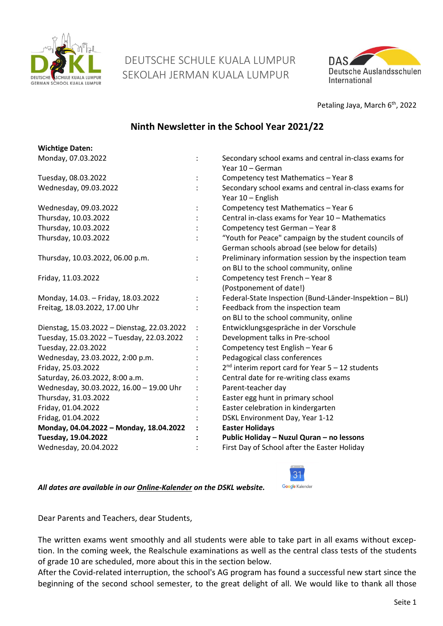

 DEUTSCHE SCHULE KUALA LUMPUR SEKOLAH JERMAN KUALA LUMPUR



Petaling Jaya, March 6<sup>th</sup>, 2022

# **Ninth Newsletter in the School Year 2021/22**

| <b>Wichtige Daten:</b>                      |                |                                                                                                        |
|---------------------------------------------|----------------|--------------------------------------------------------------------------------------------------------|
| Monday, 07.03.2022                          |                | Secondary school exams and central in-class exams for<br>Year 10 - German                              |
| Tuesday, 08.03.2022                         |                | Competency test Mathematics - Year 8                                                                   |
| Wednesday, 09.03.2022                       |                | Secondary school exams and central in-class exams for<br>Year 10 - English                             |
| Wednesday, 09.03.2022                       |                | Competency test Mathematics - Year 6                                                                   |
| Thursday, 10.03.2022                        |                | Central in-class exams for Year 10 - Mathematics                                                       |
| Thursday, 10.03.2022                        |                | Competency test German - Year 8                                                                        |
| Thursday, 10.03.2022                        |                | "Youth for Peace" campaign by the student councils of<br>German schools abroad (see below for details) |
| Thursday, 10.03.2022, 06.00 p.m.            |                | Preliminary information session by the inspection team<br>on BLI to the school community, online       |
| Friday, 11.03.2022                          |                | Competency test French - Year 8<br>(Postponement of date!)                                             |
| Monday, 14.03. - Friday, 18.03.2022         | $\ddot{\cdot}$ | Federal-State Inspection (Bund-Länder-Inspektion - BLI)                                                |
| Freitag, 18.03.2022, 17.00 Uhr              |                | Feedback from the inspection team<br>on BLI to the school community, online                            |
| Dienstag, 15.03.2022 - Dienstag, 22.03.2022 |                | Entwicklungsgespräche in der Vorschule                                                                 |
| Tuesday, 15.03.2022 - Tuesday, 22.03.2022   |                | Development talks in Pre-school                                                                        |
| Tuesday, 22.03.2022                         |                | Competency test English - Year 6                                                                       |
| Wednesday, 23.03.2022, 2:00 p.m.            |                | Pedagogical class conferences                                                                          |
| Friday, 25.03.2022                          |                | $2nd$ interim report card for Year 5 – 12 students                                                     |
| Saturday, 26.03.2022, 8:00 a.m.             |                | Central date for re-writing class exams                                                                |
| Wednesday, 30.03.2022, 16.00 - 19.00 Uhr    |                | Parent-teacher day                                                                                     |
| Thursday, 31.03.2022                        |                | Easter egg hunt in primary school                                                                      |
| Friday, 01.04.2022                          |                | Easter celebration in kindergarten                                                                     |
| Fridag, 01.04.2022                          |                | DSKL Environment Day, Year 1-12                                                                        |
| Monday, 04.04.2022 - Monday, 18.04.2022     |                | <b>Easter Holidays</b>                                                                                 |
| Tuesday, 19.04.2022                         |                | Public Holiday - Nuzul Quran - no lessons                                                              |
| Wednesday, 20.04.2022                       |                | First Day of School after the Easter Holiday                                                           |

*All dates are available in our [Online-Kalender](https://www.dskl.edu.my/kalender/) on the DSKL website.* 



Dear Parents and Teachers, dear Students,

The written exams went smoothly and all students were able to take part in all exams without exception. In the coming week, the Realschule examinations as well as the central class tests of the students of grade 10 are scheduled, more about this in the section below.

After the Covid-related interruption, the school's AG program has found a successful new start since the beginning of the second school semester, to the great delight of all. We would like to thank all those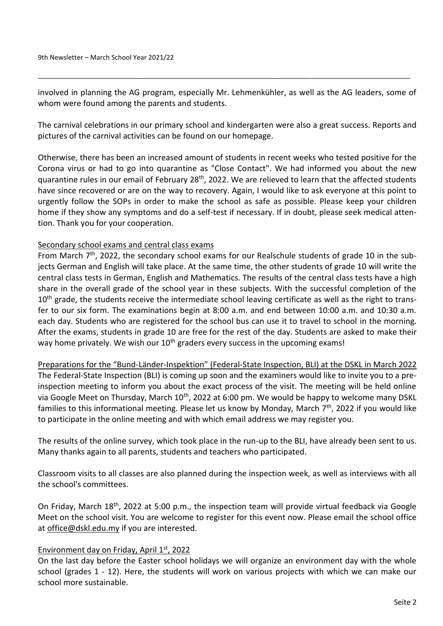involved in planning the AG program, especially Mr. Lehmenkühler, as well as the AG leaders, some of whom were found among the parents and students.

\_\_\_\_\_\_\_\_\_\_\_\_\_\_\_\_\_\_\_\_\_\_\_\_\_\_\_\_\_\_\_\_\_\_\_\_\_\_\_\_\_\_\_\_\_\_\_\_\_\_\_\_\_\_\_\_\_\_\_\_\_\_\_\_\_\_\_\_\_\_\_\_\_\_\_\_\_\_\_\_\_\_\_\_\_\_\_\_\_\_

The carnival celebrations in our primary school and kindergarten were also a great success. Reports and pictures of the carnival activities can be found on our homepage.

Otherwise, there has been an increased amount of students in recent weeks who tested positive for the Corona virus or had to go into quarantine as "Close Contact". We had informed you about the new quarantine rules in our email of February 28<sup>th</sup>, 2022. We are relieved to learn that the affected students have since recovered or are on the way to recovery. Again, I would like to ask everyone at this point to urgently follow the SOPs in order to make the school as safe as possible. Please keep your children home if they show any symptoms and do a self-test if necessary. If in doubt, please seek medical attention. Thank you for your cooperation.

#### Secondary school exams and central class exams

From March  $7<sup>th</sup>$ , 2022, the secondary school exams for our Realschule students of grade 10 in the subjects German and English will take place. At the same time, the other students of grade 10 will write the central class tests in German, English and Mathematics. The results of the central class tests have a high share in the overall grade of the school year in these subjects. With the successful completion of the 10<sup>th</sup> grade, the students receive the intermediate school leaving certificate as well as the right to transfer to our six form. The examinations begin at 8:00 a.m. and end between 10:00 a.m. and 10:30 a.m. each day. Students who are registered for the school bus can use it to travel to school in the morning. After the exams, students in grade 10 are free for the rest of the day. Students are asked to make their way home privately. We wish our  $10<sup>th</sup>$  graders every success in the upcoming exams!

Preparations for the "Bund-Länder-Inspektion" (Federal-State Inspection, BLI) at the DSKL in March 2022 The Federal-State Inspection (BLI) is coming up soon and the examiners would like to invite you to a preinspection meeting to inform you about the exact process of the visit. The meeting will be held online via Google Meet on Thursday, March 10<sup>th</sup>, 2022 at 6:00 pm. We would be happy to welcome many DSKL families to this informational meeting. Please let us know by Monday, March 7<sup>th</sup>, 2022 if you would like to participate in the online meeting and with which email address we may register you.

The results of the online survey, which took place in the run-up to the BLI, have already been sent to us. Many thanks again to all parents, students and teachers who participated.

Classroom visits to all classes are also planned during the inspection week, as well as interviews with all the school's committees.

On Friday, March 18th, 2022 at 5:00 p.m., the inspection team will provide virtual feedback via Google Meet on the school visit. You are welcome to register for this event now. Please email the school office at office@dskl.edu.my if you are interested.

#### Environment day on Friday, April 1st, 2022

On the last day before the Easter school holidays we will organize an environment day with the whole school (grades 1 - 12). Here, the students will work on various projects with which we can make our school more sustainable.